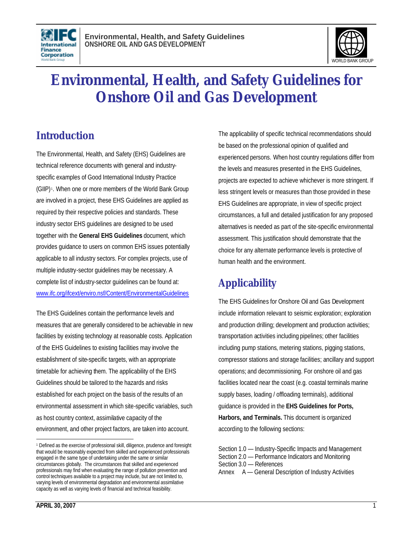



# **Environmental, Health, and Safety Guidelines for Onshore Oil and Gas Development**

# **Introduction**

The Environmental, Health, and Safety (EHS) Guidelines are technical reference documents with general and industryspecific examples of Good International Industry Practice (GIIP) <sup>1</sup> . When one or more members of the World Bank Group are involved in a project, these EHS Guidelines are applied as required by their respective policies and standards. These industry sector EHS guidelines are designed to be used together with the **General EHS Guidelines** document, which provides guidance to users on common EHS issues potentially applicable to all industry sectors. For complex projects, use of multiple industry-sector guidelines may be necessary. A complete list of industry-sector guidelines can be found at: www.ifc.org/ifcext/enviro.nsf/Content/EnvironmentalGuidelines

The EHS Guidelines contain the performance levels and measures that are generally considered to be achievable in new facilities by existing technology at reasonable costs. Application of the EHS Guidelines to existing facilities may involve the establishment of site-specific targets, with an appropriate timetable for achieving them. The applicability of the EHS Guidelines should be tailored to the hazards and risks established for each project on the basis of the results of an environmental assessment in which site-specific variables, such as host country context, assimilative capacity of the environment, and other project factors, are taken into account.

The applicability of specific technical recommendations should be based on the professional opinion of qualified and experienced persons. When host country regulations differ from the levels and measures presented in the EHS Guidelines, projects are expected to achieve whichever is more stringent. If less stringent levels or measures than those provided in these EHS Guidelines are appropriate, in view of specific project circumstances, a full and detailed justification for any proposed alternatives is needed as part of the site-specific environmental assessment. This justification should demonstrate that the choice for any alternate performance levels is protective of human health and the environment.

# **Applicability**

The EHS Guidelines for Onshore Oil and Gas Development include information relevant to seismic exploration; exploration and production drilling; development and production activities; transportation activities including pipelines; other facilities including pump stations, metering stations, pigging stations, compressor stations and storage facilities; ancillary and support operations; and decommissioning. For onshore oil and gas facilities located near the coast (e.g. coastal terminals marine supply bases, loading / offloading terminals), additional guidance is provided in the **EHS Guidelines for Ports, Harbors, and Terminals.** This document is organized according to the following sections:

 $\overline{a}$ <sup>1</sup> Defined as the exercise of professional skill, diligence, prudence and foresight that would be reasonably expected from skilled and experienced professionals engaged in the same type of undertaking under the same or similar circumstances globally. The circumstances that skilled and experienced professionals may find when evaluating the range of pollution prevention and control techniques available to a project may include, but are not limited to, varying levels of environmental degradation and environmental assimilative capacity as well as varying levels of financial and technical feasibility.

Section 1.0 — Industry-Specific Impacts and Management Section 2.0 — Performance Indicators and Monitoring Section 3.0 — References

Annex A — General Description of Industry Activities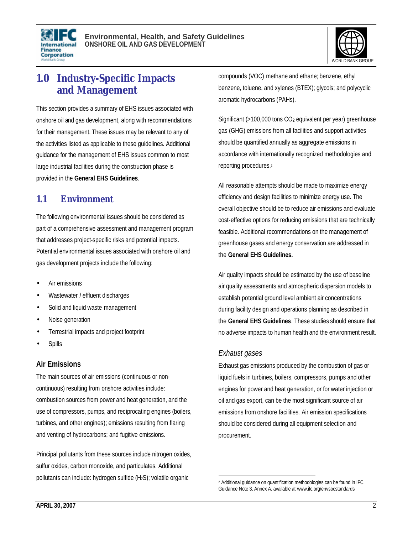



# **1.0 Industry-Specific Impacts and Management**

This section provides a summary of EHS issues associated with onshore oil and gas development, along with recommendations for their management. These issues may be relevant to any of the activities listed as applicable to these guidelines. Additional guidance for the management of EHS issues common to most large industrial facilities during the construction phase is provided in the **General EHS Guidelines**.

# **1.1 Environment**

The following environmental issues should be considered as part of a comprehensive assessment and management program that addresses project-specific risks and potential impacts. Potential environmental issues associated with onshore oil and gas development projects include the following:

- Air emissions
- Wastewater / effluent discharges
- Solid and liquid waste management
- Noise generation
- Terrestrial impacts and project footprint
- **Spills**

#### **Air Emissions**

The main sources of air emissions (continuous or noncontinuous) resulting from onshore activities include: combustion sources from power and heat generation, and the use of compressors, pumps, and reciprocating engines (boilers, turbines, and other engines); emissions resulting from flaring and venting of hydrocarbons; and fugitive emissions.

Principal pollutants from these sources include nitrogen oxides, sulfur oxides, carbon monoxide, and particulates. Additional pollutants can include: hydrogen sulfide (H2S); volatile organic

compounds (VOC) methane and ethane; benzene, ethyl benzene, toluene, and xylenes (BTEX); glycols; and polycyclic aromatic hydrocarbons (PAHs).

Significant ( $>100,000$  tons  $CO<sub>2</sub>$  equivalent per year) greenhouse gas (GHG) emissions from all facilities and support activities should be quantified annually as aggregate emissions in accordance with internationally recognized methodologies and reporting procedures.<sup>2</sup>

All reasonable attempts should be made to maximize energy efficiency and design facilities to minimize energy use. The overall objective should be to reduce air emissions and evaluate cost-effective options for reducing emissions that are technically feasible. Additional recommendations on the management of greenhouse gases and energy conservation are addressed in the **General EHS Guidelines.**

Air quality impacts should be estimated by the use of baseline air quality assessments and atmospheric dispersion models to establish potential ground level ambient air concentrations during facility design and operations planning as described in the **General EHS Guidelines**. These studies should ensure that no adverse impacts to human health and the environment result.

#### *Exhaust gases*

Exhaust gas emissions produced by the combustion of gas or liquid fuels in turbines, boilers, compressors, pumps and other engines for power and heat generation, or for water injection or oil and gas export, can be the most significant source of air emissions from onshore facilities. Air emission specifications should be considered during all equipment selection and procurement.

<sup>1</sup> 2 Additional guidance on quantification methodologies can be found in IFC Guidance Note 3, Annex A, available at www.ifc.org/envsocstandards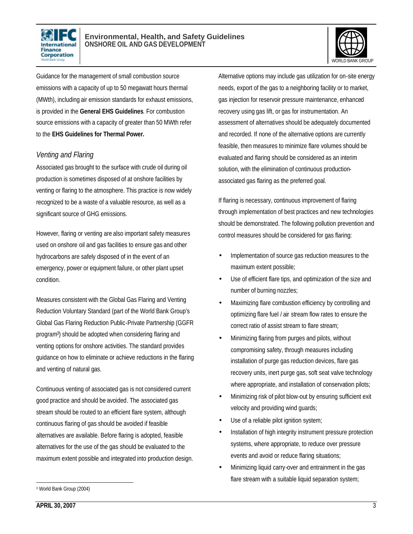



Guidance for the management of small combustion source emissions with a capacity of up to 50 megawatt hours thermal (MWth), including air emission standards for exhaust emissions, is provided in the **General EHS Guidelines**. For combustion source emissions with a capacity of greater than 50 MWth refer to the **EHS Guidelines for Thermal Power.**

#### *Venting and Flaring*

Associated gas brought to the surface with crude oil during oil production is sometimes disposed of at onshore facilities by venting or flaring to the atmosphere. This practice is now widely recognized to be a waste of a valuable resource, as well as a significant source of GHG emissions.

However, flaring or venting are also important safety measures used on onshore oil and gas facilities to ensure gas and other hydrocarbons are safely disposed of in the event of an emergency, power or equipment failure, or other plant upset condition.

Measures consistent with the Global Gas Flaring and Venting Reduction Voluntary Standard (part of the World Bank Group's Global Gas Flaring Reduction Public-Private Partnership (GGFR program<sup>3</sup> ) should be adopted when considering flaring and venting options for onshore activities. The standard provides guidance on how to eliminate or achieve reductions in the flaring and venting of natural gas.

Continuous venting of associated gas is not considered current good practice and should be avoided. The associated gas stream should be routed to an efficient flare system, although continuous flaring of gas should be avoided if feasible alternatives are available. Before flaring is adopted, feasible alternatives for the use of the gas should be evaluated to the maximum extent possible and integrated into production design. Alternative options may include gas utilization for on-site energy needs, export of the gas to a neighboring facility or to market, gas injection for reservoir pressure maintenance, enhanced recovery using gas lift, or gas for instrumentation. An assessment of alternatives should be adequately documented and recorded. If none of the alternative options are currently feasible, then measures to minimize flare volumes should be evaluated and flaring should be considered as an interim solution, with the elimination of continuous productionassociated gas flaring as the preferred goal.

If flaring is necessary, continuous improvement of flaring through implementation of best practices and new technologies should be demonstrated. The following pollution prevention and control measures should be considered for gas flaring:

- Implementation of source gas reduction measures to the maximum extent possible;
- Use of efficient flare tips, and optimization of the size and number of burning nozzles;
- Maximizing flare combustion efficiency by controlling and optimizing flare fuel / air stream flow rates to ensure the correct ratio of assist stream to flare stream;
- Minimizing flaring from purges and pilots, without compromising safety, through measures including installation of purge gas reduction devices, flare gas recovery units, inert purge gas, soft seat valve technology where appropriate, and installation of conservation pilots;
- Minimizing risk of pilot blow-out by ensuring sufficient exit velocity and providing wind guards;
- Use of a reliable pilot ignition system;
- Installation of high integrity instrument pressure protection systems, where appropriate, to reduce over pressure events and avoid or reduce flaring situations;
- Minimizing liquid carry-over and entrainment in the gas flare stream with a suitable liquid separation system;

 $\overline{a}$ 3 World Bank Group (2004)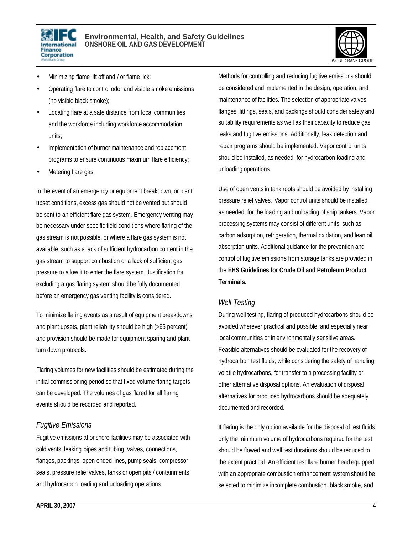



- Minimizing flame lift off and / or flame lick;
- Operating flare to control odor and visible smoke emissions (no visible black smoke);
- Locating flare at a safe distance from local communities and the workforce including workforce accommodation units;
- Implementation of burner maintenance and replacement programs to ensure continuous maximum flare efficiency;
- Metering flare gas.

In the event of an emergency or equipment breakdown, or plant upset conditions, excess gas should not be vented but should be sent to an efficient flare gas system. Emergency venting may be necessary under specific field conditions where flaring of the gas stream is not possible, or where a flare gas system is not available, such as a lack of sufficient hydrocarbon content in the gas stream to support combustion or a lack of sufficient gas pressure to allow it to enter the flare system. Justification for excluding a gas flaring system should be fully documented before an emergency gas venting facility is considered.

To minimize flaring events as a result of equipment breakdowns and plant upsets, plant reliability should be high (>95 percent) and provision should be made for equipment sparing and plant turn down protocols.

Flaring volumes for new facilities should be estimated during the initial commissioning period so that fixed volume flaring targets can be developed. The volumes of gas flared for all flaring events should be recorded and reported.

#### *Fugitive Emissions*

Fugitive emissions at onshore facilities may be associated with cold vents, leaking pipes and tubing, valves, connections, flanges, packings, open-ended lines, pump seals, compressor seals, pressure relief valves, tanks or open pits / containments, and hydrocarbon loading and unloading operations.

Methods for controlling and reducing fugitive emissions should be considered and implemented in the design, operation, and maintenance of facilities. The selection of appropriate valves, flanges, fittings, seals, and packings should consider safety and suitability requirements as well as their capacity to reduce gas leaks and fugitive emissions. Additionally, leak detection and repair programs should be implemented. Vapor control units should be installed, as needed, for hydrocarbon loading and unloading operations.

Use of open vents in tank roofs should be avoided by installing pressure relief valves. Vapor control units should be installed, as needed, for the loading and unloading of ship tankers. Vapor processing systems may consist of different units, such as carbon adsorption, refrigeration, thermal oxidation, and lean oil absorption units. Additional guidance for the prevention and control of fugitive emissions from storage tanks are provided in the **EHS Guidelines for Crude Oil and Petroleum Product Terminals**.

#### *Well Testing*

During well testing, flaring of produced hydrocarbons should be avoided wherever practical and possible, and especially near local communities or in environmentally sensitive areas. Feasible alternatives should be evaluated for the recovery of hydrocarbon test fluids, while considering the safety of handling volatile hydrocarbons, for transfer to a processing facility or other alternative disposal options. An evaluation of disposal alternatives for produced hydrocarbons should be adequately documented and recorded.

If flaring is the only option available for the disposal of test fluids, only the minimum volume of hydrocarbons required for the test should be flowed and well test durations should be reduced to the extent practical. An efficient test flare burner head equipped with an appropriate combustion enhancement system should be selected to minimize incomplete combustion, black smoke, and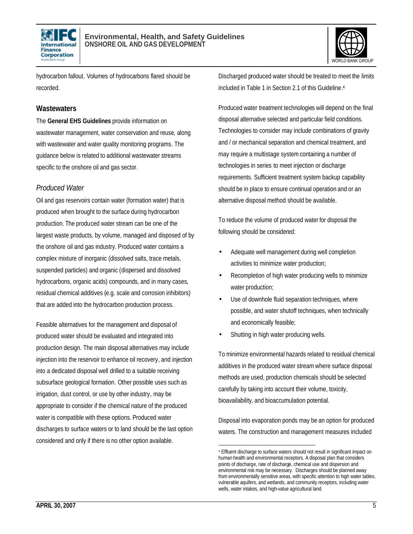



hydrocarbon fallout. Volumes of hydrocarbons flared should be recorded.

#### **Wastewaters**

The **General EHS Guidelines** provide information on wastewater management, water conservation and reuse, along with wastewater and water quality monitoring programs. The guidance below is related to additional wastewater streams specific to the onshore oil and gas sector.

#### *Produced Water*

Oil and gas reservoirs contain water (formation water) that is produced when brought to the surface during hydrocarbon production. The produced water stream can be one of the largest waste products, by volume, managed and disposed of by the onshore oil and gas industry. Produced water contains a complex mixture of inorganic (dissolved salts, trace metals, suspended particles) and organic (dispersed and dissolved hydrocarbons, organic acids) compounds, and in many cases, residual chemical additives (e.g. scale and corrosion inhibitors) that are added into the hydrocarbon production process.

Feasible alternatives for the management and disposal of produced water should be evaluated and integrated into production design. The main disposal alternatives may include injection into the reservoir to enhance oil recovery, and injection into a dedicated disposal well drilled to a suitable receiving subsurface geological formation. Other possible uses such as irrigation, dust control, or use by other industry, may be appropriate to consider if the chemical nature of the produced water is compatible with these options. Produced water discharges to surface waters or to land should be the last option considered and only if there is no other option available.

Discharged produced water should be treated to meet the limits included in Table 1 in Section 2.1 of this Guideline. 4

Produced water treatment technologies will depend on the final disposal alternative selected and particular field conditions. Technologies to consider may include combinations of gravity and / or mechanical separation and chemical treatment, and may require a multistage system containing a number of technologies in series to meet injection or discharge requirements. Sufficient treatment system backup capability should be in place to ensure continual operation and or an alternative disposal method should be available.

To reduce the volume of produced water for disposal the following should be considered:

- Adequate well management during well completion activities to minimize water production;
- Recompletion of high water producing wells to minimize water production;
- Use of downhole fluid separation techniques, where possible, and water shutoff techniques, when technically and economically feasible;
- Shutting in high water producing wells.

To minimize environmental hazards related to residual chemical additives in the produced water stream where surface disposal methods are used, production chemicals should be selected carefully by taking into account their volume, toxicity, bioavailability, and bioaccumulation potential.

Disposal into evaporation ponds may be an option for produced waters. The construction and management measures included

l 4 Effluent discharge to surface waters should not result in significant impact on human health and environmental receptors. A disposal plan that considers points of discharge, rate of discharge, chemical use and dispersion and environmental risk may be necessary. Discharges should be planned away from environmentally sensitive areas, with specific attention to high water tables, vulnerable aquifers, and wetlands, and community receptors, including water wells, water intakes, and high-value agricultural land.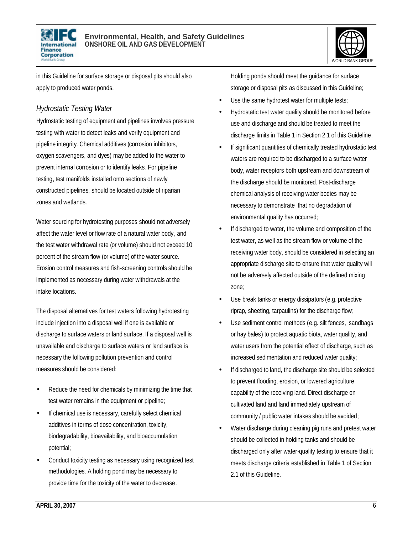



in this Guideline for surface storage or disposal pits should also apply to produced water ponds.

# *Hydrostatic Testing Water*

Hydrostatic testing of equipment and pipelines involves pressure testing with water to detect leaks and verify equipment and pipeline integrity. Chemical additives (corrosion inhibitors, oxygen scavengers, and dyes) may be added to the water to prevent internal corrosion or to identify leaks. For pipeline testing, test manifolds installed onto sections of newly constructed pipelines, should be located outside of riparian zones and wetlands.

Water sourcing for hydrotesting purposes should not adversely affect the water level or flow rate of a natural water body, and the test water withdrawal rate (or volume) should not exceed 10 percent of the stream flow (or volume) of the water source. Erosion control measures and fish-screening controls should be implemented as necessary during water withdrawals at the intake locations.

The disposal alternatives for test waters following hydrotesting include injection into a disposal well if one is available or discharge to surface waters or land surface. If a disposal well is unavailable and discharge to surface waters or land surface is necessary the following pollution prevention and control measures should be considered:

- Reduce the need for chemicals by minimizing the time that test water remains in the equipment or pipeline;
- If chemical use is necessary, carefully select chemical additives in terms of dose concentration, toxicity, biodegradability, bioavailability, and bioaccumulation potential;
- Conduct toxicity testing as necessary using recognized test methodologies. A holding pond may be necessary to provide time for the toxicity of the water to decrease.

Holding ponds should meet the guidance for surface storage or disposal pits as discussed in this Guideline;

- Use the same hydrotest water for multiple tests;
- Hydrostatic test water quality should be monitored before use and discharge and should be treated to meet the discharge limits in Table 1 in Section 2.1 of this Guideline.
- If significant quantities of chemically treated hydrostatic test waters are required to be discharged to a surface water body, water receptors both upstream and downstream of the discharge should be monitored. Post-discharge chemical analysis of receiving water bodies may be necessary to demonstrate that no degradation of environmental quality has occurred;
- If discharged to water, the volume and composition of the test water, as well as the stream flow or volume of the receiving water body, should be considered in selecting an appropriate discharge site to ensure that water quality will not be adversely affected outside of the defined mixing zone;
- Use break tanks or energy dissipators (e.g. protective riprap, sheeting, tarpaulins) for the discharge flow;
- Use sediment control methods (e.g. silt fences, sandbags or hay bales) to protect aquatic biota, water quality, and water users from the potential effect of discharge, such as increased sedimentation and reduced water quality;
- If discharged to land, the discharge site should be selected to prevent flooding, erosion, or lowered agriculture capability of the receiving land. Direct discharge on cultivated land and land immediately upstream of community / public water intakes should be avoided;
- Water discharge during cleaning pig runs and pretest water should be collected in holding tanks and should be discharged only after water-quality testing to ensure that it meets discharge criteria established in Table 1 of Section 2.1 of this Guideline.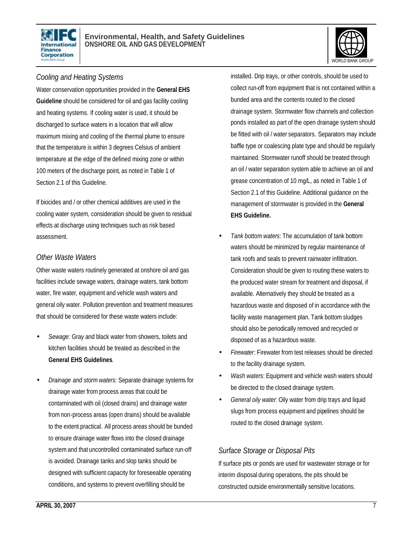



#### *Cooling and Heating Systems*

Water conservation opportunities provided in the **General EHS Guideline** should be considered for oil and gas facility cooling and heating systems. If cooling water is used, it should be discharged to surface waters in a location that will allow maximum mixing and cooling of the thermal plume to ensure that the temperature is within 3 degrees Celsius of ambient temperature at the edge of the defined mixing zone or within 100 meters of the discharge point, as noted in Table 1 of Section 2.1 of this Guideline.

If biocides and / or other chemical additives are used in the cooling water system, consideration should be given to residual effects at discharge using techniques such as risk based assessment.

#### *Other Waste Waters*

Other waste waters routinely generated at onshore oil and gas facilities include sewage waters, drainage waters, tank bottom water, fire water, equipment and vehicle wash waters and general oily water. Pollution prevention and treatment measures that should be considered for these waste waters include:

- Sewage: Gray and black water from showers, toilets and kitchen facilities should be treated as described in the **General EHS Guidelines**.
- *Drainage and storm waters:* Separate drainage systems for drainage water from process areas that could be contaminated with oil (closed drains) and drainage water from non-process areas (open drains) should be available to the extent practical. All process areas should be bunded to ensure drainage water flows into the closed drainage system and that uncontrolled contaminated surface run-off is avoided. Drainage tanks and slop tanks should be designed with sufficient capacity for foreseeable operating conditions, and systems to prevent overfilling should be

installed. Drip trays, or other controls, should be used to collect run-off from equipment that is not contained within a bunded area and the contents routed to the closed drainage system. Stormwater flow channels and collection ponds installed as part of the open drainage system should be fitted with oil / water separators. Separators may include baffle type or coalescing plate type and should be regularly maintained. Stormwater runoff should be treated through an oil / water separation system able to achieve an oil and grease concentration of 10 mg/L, as noted in Table 1 of Section 2.1 of this Guideline. Additional guidance on the management of stormwater is provided in the **General EHS Guideline.**

- *Tank bottom waters*: The accumulation of tank bottom waters should be minimized by regular maintenance of tank roofs and seals to prevent rainwater infiltration. Consideration should be given to routing these waters to the produced water stream for treatment and disposal, if available. Alternatively they should be treated as a hazardous waste and disposed of in accordance with the facility waste management plan. Tank bottom sludges should also be periodically removed and recycled or disposed of as a hazardous waste.
- *Firewater*: Firewater from test releases should be directed to the facility drainage system.
- *Wash waters*: Equipment and vehicle wash waters should be directed to the closed drainage system.
- *General oily water*: Oily water from drip trays and liquid slugs from process equipment and pipelines should be routed to the closed drainage system.

#### *Surface Storage or Disposal Pits*

If surface pits or ponds are used for wastewater storage or for interim disposal during operations, the pits should be constructed outside environmentally sensitive locations.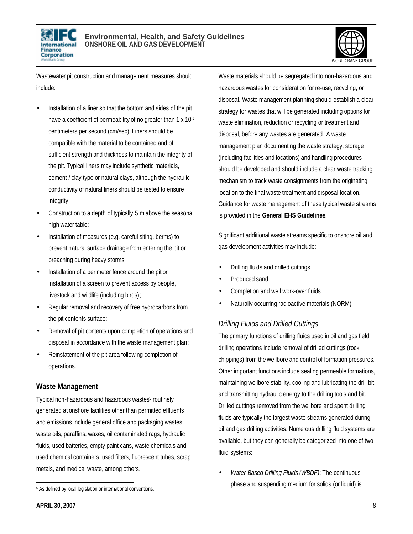



Wastewater pit construction and management measures should include:

- Installation of a liner so that the bottom and sides of the pit have a coefficient of permeability of no greater than 1 x 10<sup>-7</sup> centimeters per second (cm/sec). Liners should be compatible with the material to be contained and of sufficient strength and thickness to maintain the integrity of the pit. Typical liners may include synthetic materials, cement / clay type or natural clays, although the hydraulic conductivity of natural liners should be tested to ensure integrity;
- Construction to a depth of typically 5 m above the seasonal high water table;
- Installation of measures (e.g. careful siting, berms) to prevent natural surface drainage from entering the pit or breaching during heavy storms;
- Installation of a perimeter fence around the pit or installation of a screen to prevent access by people, livestock and wildlife (including birds);
- Regular removal and recovery of free hydrocarbons from the pit contents surface;
- Removal of pit contents upon completion of operations and disposal in accordance with the waste management plan;
- Reinstatement of the pit area following completion of operations.

#### **Waste Management**

Typical non-hazardous and hazardous wastes<sup>5</sup> routinely generated at onshore facilities other than permitted effluents and emissions include general office and packaging wastes, waste oils, paraffins, waxes, oil contaminated rags, hydraulic fluids, used batteries, empty paint cans, waste chemicals and used chemical containers, used filters, fluorescent tubes, scrap metals, and medical waste, among others.

Waste materials should be segregated into non-hazardous and hazardous wastes for consideration for re-use, recycling, or disposal. Waste management planning should establish a clear strategy for wastes that will be generated including options for waste elimination, reduction or recycling or treatment and disposal, before any wastes are generated. A waste management plan documenting the waste strategy, storage (including facilities and locations) and handling procedures should be developed and should include a clear waste tracking mechanism to track waste consignments from the originating location to the final waste treatment and disposal location. Guidance for waste management of these typical waste streams is provided in the **General EHS Guidelines**.

Significant additional waste streams specific to onshore oil and gas development activities may include:

- Drilling fluids and drilled cuttings
- Produced sand
- Completion and well work-over fluids
- Naturally occurring radioactive materials (NORM)

#### *Drilling Fluids and Drilled Cuttings*

The primary functions of drilling fluids used in oil and gas field drilling operations include removal of drilled cuttings (rock chippings) from the wellbore and control of formation pressures. Other important functions include sealing permeable formations, maintaining wellbore stability, cooling and lubricating the drill bit, and transmitting hydraulic energy to the drilling tools and bit. Drilled cuttings removed from the wellbore and spent drilling fluids are typically the largest waste streams generated during oil and gas drilling activities. Numerous drilling fluid systems are available, but they can generally be categorized into one of two fluid systems:

• *Water-Based Drilling Fluids (WBDF)*: The continuous phase and suspending medium for solids (or liquid) is

 $\overline{a}$ <sup>5</sup> As defined by local legislation or international conventions.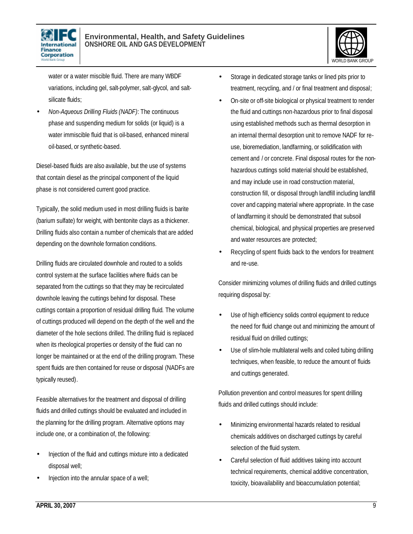



water or a water miscible fluid. There are many WBDF variations, including gel, salt-polymer, salt-glycol, and saltsilicate fluids;

• *Non-Aqueous Drilling Fluids (NADF)*: The continuous phase and suspending medium for solids (or liquid) is a water immiscible fluid that is oil-based, enhanced mineral oil-based, or synthetic-based.

Diesel-based fluids are also available, but the use of systems that contain diesel as the principal component of the liquid phase is not considered current good practice.

Typically, the solid medium used in most drilling fluids is barite (barium sulfate) for weight, with bentonite clays as a thickener. Drilling fluids also contain a number of chemicals that are added depending on the downhole formation conditions.

Drilling fluids are circulated downhole and routed to a solids control systemat the surface facilities where fluids can be separated from the cuttings so that they may be recirculated downhole leaving the cuttings behind for disposal. These cuttings contain a proportion of residual drilling fluid. The volume of cuttings produced will depend on the depth of the well and the diameter of the hole sections drilled. The drilling fluid is replaced when its rheological properties or density of the fluid can no longer be maintained or at the end of the drilling program. These spent fluids are then contained for reuse or disposal (NADFs are typically reused).

Feasible alternatives for the treatment and disposal of drilling fluids and drilled cuttings should be evaluated and included in the planning for the drilling program. Alternative options may include one, or a combination of, the following:

- Injection of the fluid and cuttings mixture into a dedicated disposal well;
- Injection into the annular space of a well;
- Storage in dedicated storage tanks or lined pits prior to treatment, recycling, and / or final treatment and disposal;
- On-site or off-site biological or physical treatment to render the fluid and cuttings non-hazardous prior to final disposal using established methods such as thermal desorption in an internal thermal desorption unit to remove NADF for reuse, bioremediation, landfarming, or solidification with cement and / or concrete. Final disposal routes for the nonhazardous cuttings solid material should be established, and may include use in road construction material, construction fill, or disposal through landfill including landfill cover and capping material where appropriate. In the case of landfarming it should be demonstrated that subsoil chemical, biological, and physical properties are preserved and water resources are protected;
- Recycling of spent fluids back to the vendors for treatment and re-use.

Consider minimizing volumes of drilling fluids and drilled cuttings requiring disposal by:

- Use of high efficiency solids control equipment to reduce the need for fluid change out and minimizing the amount of residual fluid on drilled cuttings;
- Use of slim-hole multilateral wells and coiled tubing drilling techniques, when feasible, to reduce the amount of fluids and cuttings generated.

Pollution prevention and control measures for spent drilling fluids and drilled cuttings should include:

- Minimizing environmental hazards related to residual chemicals additives on discharged cuttings by careful selection of the fluid system.
- Careful selection of fluid additives taking into account technical requirements, chemical additive concentration, toxicity, bioavailability and bioaccumulation potential;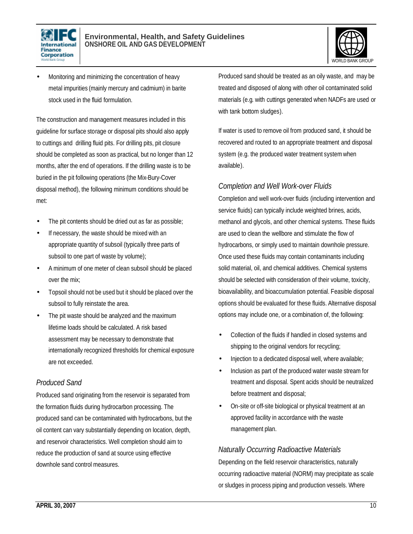



• Monitoring and minimizing the concentration of heavy metal impurities (mainly mercury and cadmium) in barite stock used in the fluid formulation.

The construction and management measures included in this guideline for surface storage or disposal pits should also apply to cuttings and drilling fluid pits. For drilling pits, pit closure should be completed as soon as practical, but no longer than 12 months, after the end of operations. If the drilling waste is to be buried in the pit following operations (the Mix-Bury-Cover disposal method), the following minimum conditions should be met:

- The pit contents should be dried out as far as possible;
- If necessary, the waste should be mixed with an appropriate quantity of subsoil (typically three parts of subsoil to one part of waste by volume);
- A minimum of one meter of clean subsoil should be placed over the mix;
- Topsoil should not be used but it should be placed over the subsoil to fully reinstate the area.
- The pit waste should be analyzed and the maximum lifetime loads should be calculated. A risk based assessment may be necessary to demonstrate that internationally recognized thresholds for chemical exposure are not exceeded.

#### *Produced Sand*

Produced sand originating from the reservoir is separated from the formation fluids during hydrocarbon processing. The produced sand can be contaminated with hydrocarbons, but the oil content can vary substantially depending on location, depth, and reservoir characteristics. Well completion should aim to reduce the production of sand at source using effective downhole sand control measures.

Produced sand should be treated as an oily waste, and may be treated and disposed of along with other oil contaminated solid materials (e.g. with cuttings generated when NADFs are used or with tank bottom sludges).

If water is used to remove oil from produced sand, it should be recovered and routed to an appropriate treatment and disposal system (e.g. the produced water treatment system when available).

#### *Completion and Well Work-over Fluids*

Completion and well work-over fluids (including intervention and service fluids) can typically include weighted brines, acids, methanol and glycols, and other chemical systems. These fluids are used to clean the wellbore and stimulate the flow of hydrocarbons, or simply used to maintain downhole pressure. Once used these fluids may contain contaminants including solid material, oil, and chemical additives. Chemical systems should be selected with consideration of their volume, toxicity, bioavailability, and bioaccumulation potential. Feasible disposal options should be evaluated for these fluids. Alternative disposal options may include one, or a combination of, the following:

- Collection of the fluids if handled in closed systems and shipping to the original vendors for recycling;
- Injection to a dedicated disposal well, where available;
- Inclusion as part of the produced water waste stream for treatment and disposal. Spent acids should be neutralized before treatment and disposal;
- On-site or off-site biological or physical treatment at an approved facility in accordance with the waste management plan.

#### *Naturally Occurring Radioactive Materials*

Depending on the field reservoir characteristics, naturally occurring radioactive material (NORM) may precipitate as scale or sludges in process piping and production vessels. Where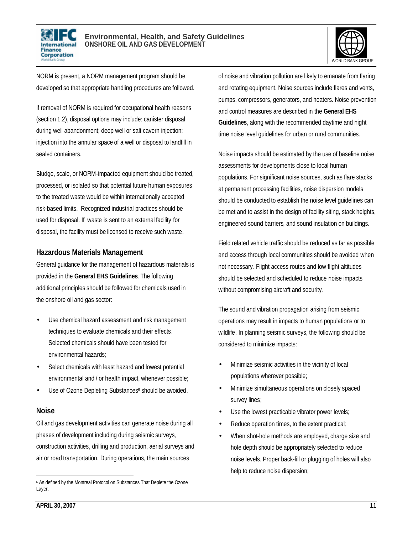



NORM is present, a NORM management program should be developed so that appropriate handling procedures are followed.

If removal of NORM is required for occupational health reasons (section 1.2), disposal options may include: canister disposal during well abandonment; deep well or salt cavern injection; injection into the annular space of a well or disposal to landfill in sealed containers.

Sludge, scale, or NORM-impacted equipment should be treated, processed, or isolated so that potential future human exposures to the treated waste would be within internationally accepted risk-based limits. Recognized industrial practices should be used for disposal. If waste is sent to an external facility for disposal, the facility must be licensed to receive such waste.

#### **Hazardous Materials Management**

General guidance for the management of hazardous materials is provided in the **General EHS Guidelines**. The following additional principles should be followed for chemicals used in the onshore oil and gas sector:

- Use chemical hazard assessment and risk management techniques to evaluate chemicals and their effects. Selected chemicals should have been tested for environmental hazards;
- Select chemicals with least hazard and lowest potential environmental and / or health impact, whenever possible;
- Use of Ozone Depleting Substances<sup>6</sup> should be avoided.

#### **Noise**

 $\overline{a}$ 

Oil and gas development activities can generate noise during all phases of development including during seismic surveys, construction activities, drilling and production, aerial surveys and air or road transportation. During operations, the main sources

of noise and vibration pollution are likely to emanate from flaring and rotating equipment. Noise sources include flares and vents, pumps, compressors, generators, and heaters. Noise prevention and control measures are described in the **General EHS Guidelines**, along with the recommended daytime and night time noise level guidelines for urban or rural communities.

Noise impacts should be estimated by the use of baseline noise assessments for developments close to local human populations. For significant noise sources, such as flare stacks at permanent processing facilities, noise dispersion models should be conducted to establish the noise level guidelines can be met and to assist in the design of facility siting, stack heights, engineered sound barriers, and sound insulation on buildings.

Field related vehicle traffic should be reduced as far as possible and access through local communities should be avoided when not necessary. Flight access routes and low flight altitudes should be selected and scheduled to reduce noise impacts without compromising aircraft and security.

The sound and vibration propagation arising from seismic operations may result in impacts to human populations or to wildlife. In planning seismic surveys, the following should be considered to minimize impacts:

- Minimize seismic activities in the vicinity of local populations wherever possible;
- Minimize simultaneous operations on closely spaced survey lines;
- Use the lowest practicable vibrator power levels;
- Reduce operation times, to the extent practical;
- When shot-hole methods are employed, charge size and hole depth should be appropriately selected to reduce noise levels. Proper back-fill or plugging of holes will also help to reduce noise dispersion;

<sup>6</sup> As defined by the Montreal Protocol on Substances That Deplete the Ozone Layer.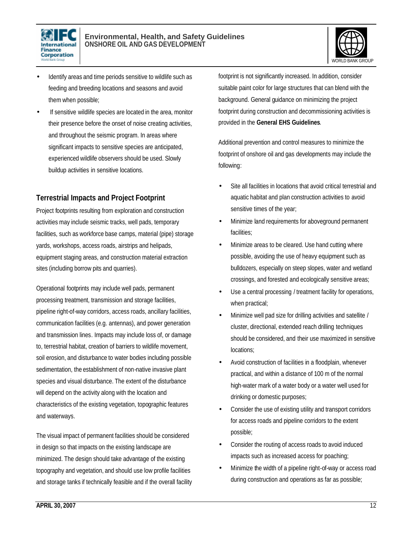



- Identify areas and time periods sensitive to wildlife such as feeding and breeding locations and seasons and avoid them when possible;
- If sensitive wildlife species are located in the area, monitor their presence before the onset of noise creating activities, and throughout the seismic program. In areas where significant impacts to sensitive species are anticipated, experienced wildlife observers should be used. Slowly buildup activities in sensitive locations.

#### **Terrestrial Impacts and Project Footprint**

Project footprints resulting from exploration and construction activities may include seismic tracks, well pads, temporary facilities, such as workforce base camps, material (pipe) storage yards, workshops, access roads, airstrips and helipads, equipment staging areas, and construction material extraction sites (including borrow pits and quarries).

Operational footprints may include well pads, permanent processing treatment, transmission and storage facilities, pipeline right-of-way corridors, access roads, ancillary facilities, communication facilities (e.g. antennas), and power generation and transmission lines. Impacts may include loss of, or damage to, terrestrial habitat, creation of barriers to wildlife movement, soil erosion, and disturbance to water bodies including possible sedimentation, the establishment of non-native invasive plant species and visual disturbance. The extent of the disturbance will depend on the activity along with the location and characteristics of the existing vegetation, topographic features and waterways.

The visual impact of permanent facilities should be considered in design so that impacts on the existing landscape are minimized. The design should take advantage of the existing topography and vegetation, and should use low profile facilities and storage tanks if technically feasible and if the overall facility footprint is not significantly increased. In addition, consider suitable paint color for large structures that can blend with the background. General guidance on minimizing the project footprint during construction and decommissioning activities is provided in the **General EHS Guidelines**.

Additional prevention and control measures to minimize the footprint of onshore oil and gas developments may include the following:

- Site all facilities in locations that avoid critical terrestrial and aquatic habitat and plan construction activities to avoid sensitive times of the year;
- Minimize land requirements for aboveground permanent facilities;
- Minimize areas to be cleared. Use hand cutting where possible, avoiding the use of heavy equipment such as bulldozers, especially on steep slopes, water and wetland crossings, and forested and ecologically sensitive areas;
- Use a central processing / treatment facility for operations, when practical;
- Minimize well pad size for drilling activities and satellite / cluster, directional, extended reach drilling techniques should be considered, and their use maximized in sensitive locations;
- Avoid construction of facilities in a floodplain, whenever practical, and within a distance of 100 m of the normal high-water mark of a water body or a water well used for drinking or domestic purposes;
- Consider the use of existing utility and transport corridors for access roads and pipeline corridors to the extent possible;
- Consider the routing of access roads to avoid induced impacts such as increased access for poaching;
- Minimize the width of a pipeline right-of-way or access road during construction and operations as far as possible;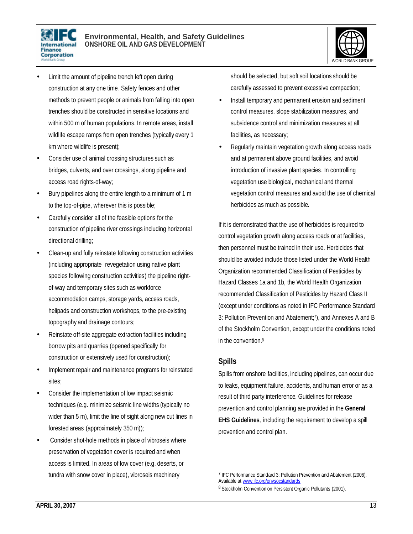



- Limit the amount of pipeline trench left open during construction at any one time. Safety fences and other methods to prevent people or animals from falling into open trenches should be constructed in sensitive locations and within 500 m of human populations. In remote areas, install wildlife escape ramps from open trenches (typically every 1 km where wildlife is present);
- Consider use of animal crossing structures such as bridges, culverts, and over crossings, along pipeline and access road rights-of-way;
- Bury pipelines along the entire length to a minimum of 1 m to the top-of-pipe, wherever this is possible;
- Carefully consider all of the feasible options for the construction of pipeline river crossings including horizontal directional drilling;
- Clean-up and fully reinstate following construction activities (including appropriate revegetation using native plant species following construction activities) the pipeline rightof-way and temporary sites such as workforce accommodation camps, storage yards, access roads, helipads and construction workshops, to the pre-existing topography and drainage contours;
- Reinstate off-site aggregate extraction facilities including borrow pits and quarries (opened specifically for construction or extensively used for construction);
- Implement repair and maintenance programs for reinstated sites;
- Consider the implementation of low impact seismic techniques (e.g. minimize seismic line widths (typically no wider than 5 m), limit the line of sight along new cut lines in forested areas (approximately 350 m));
- Consider shot-hole methods in place of vibroseis where preservation of vegetation cover is required and when access is limited. In areas of low cover (e.g. deserts, or tundra with snow cover in place), vibroseis machinery

should be selected, but soft soil locations should be carefully assessed to prevent excessive compaction;

- Install temporary and permanent erosion and sediment control measures, slope stabilization measures, and subsidence control and minimization measures at all facilities, as necessary;
- Regularly maintain vegetation growth along access roads and at permanent above ground facilities, and avoid introduction of invasive plant species. In controlling vegetation use biological, mechanical and thermal vegetation control measures and avoid the use of chemical herbicides as much as possible.

If it is demonstrated that the use of herbicides is required to control vegetation growth along access roads or at facilities, then personnel must be trained in their use. Herbicides that should be avoided include those listed under the World Health Organization recommended Classification of Pesticides by Hazard Classes 1a and 1b, the World Health Organization recommended Classification of Pesticides by Hazard Class II (except under conditions as noted in IFC Performance Standard 3: Pollution Prevention and Abatement;<sup>7</sup> ), and Annexes A and B of the Stockholm Convention, except under the conditions noted in the convention  $8$ 

#### **Spills**

1

Spills from onshore facilities, including pipelines, can occur due to leaks, equipment failure, accidents, and human error or as a result of third party interference. Guidelines for release prevention and control planning are provided in the **General EHS Guidelines**, including the requirement to develop a spill prevention and control plan.

<sup>&</sup>lt;sup>7</sup> IFC Performance Standard 3: Pollution Prevention and Abatement (2006). Available at www.ifc.org/envsocstandards

<sup>8</sup> Stockholm Convention on Persistent Organic Pollutants (2001).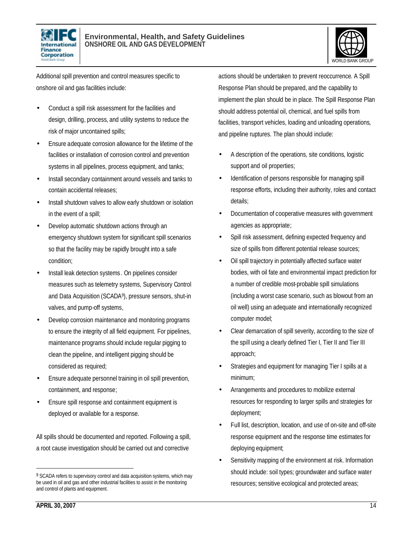



Additional spill prevention and control measures specific to onshore oil and gas facilities include:

- Conduct a spill risk assessment for the facilities and design, drilling, process, and utility systems to reduce the risk of major uncontained spills;
- Ensure adequate corrosion allowance for the lifetime of the facilities or installation of corrosion control and prevention systems in all pipelines, process equipment, and tanks;
- Install secondary containment around vessels and tanks to contain accidental releases;
- Install shutdown valves to allow early shutdown or isolation in the event of a spill;
- Develop automatic shutdown actions through an emergency shutdown system for significant spill scenarios so that the facility may be rapidly brought into a safe condition;
- Install leak detection systems. On pipelines consider measures such as telemetry systems, Supervisory Control and Data Acquisition (SCADA<sup>9</sup> ), pressure sensors, shut-in valves, and pump-off systems,
- Develop corrosion maintenance and monitoring programs to ensure the integrity of all field equipment. For pipelines, maintenance programs should include regular pigging to clean the pipeline, and intelligent pigging should be considered as required;
- Ensure adequate personnel training in oil spill prevention, containment, and response;
- Ensure spill response and containment equipment is deployed or available for a response.

All spills should be documented and reported. Following a spill, a root cause investigation should be carried out and corrective

actions should be undertaken to prevent reoccurrence. A Spill Response Plan should be prepared, and the capability to implement the plan should be in place. The Spill Response Plan should address potential oil, chemical, and fuel spills from facilities, transport vehicles, loading and unloading operations, and pipeline ruptures. The plan should include:

- A description of the operations, site conditions, logistic support and oil properties;
- Identification of persons responsible for managing spill response efforts, including their authority, roles and contact details;
- Documentation of cooperative measures with government agencies as appropriate;
- Spill risk assessment, defining expected frequency and size of spills from different potential release sources;
- Oil spill trajectory in potentially affected surface water bodies, with oil fate and environmental impact prediction for a number of credible most-probable spill simulations (including a worst case scenario, such as blowout from an oil well) using an adequate and internationally recognized computer model;
- Clear demarcation of spill severity, according to the size of the spill using a clearly defined Tier I, Tier II and Tier III approach;
- Strategies and equipment for managing Tier I spills at a minimum;
- Arrangements and procedures to mobilize external resources for responding to larger spills and strategies for deployment;
- Full list, description, location, and use of on-site and off-site response equipment and the response time estimates for deploying equipment;
- Sensitivity mapping of the environment at risk. Information should include: soil types; groundwater and surface water resources; sensitive ecological and protected areas;

 $\overline{a}$ 

<sup>&</sup>lt;sup>9</sup> SCADA refers to supervisory control and data acquisition systems, which may be used in oil and gas and other industrial facilities to assist in the monitoring and control of plants and equipment.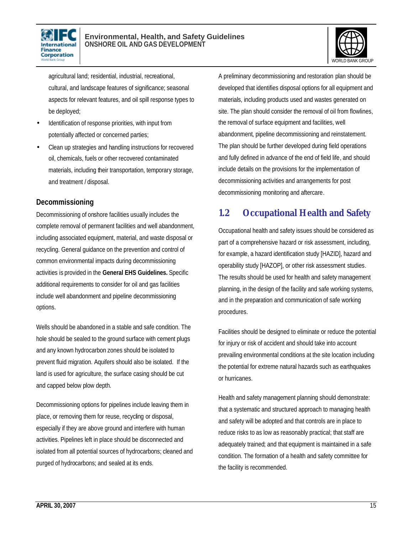



agricultural land; residential, industrial, recreational, cultural, and landscape features of significance; seasonal aspects for relevant features, and oil spill response types to be deployed;

- Identification of response priorities, with input from potentially affected or concerned parties;
- Clean up strategies and handling instructions for recovered oil, chemicals, fuels or other recovered contaminated materials, including their transportation, temporary storage, and treatment / disposal.

#### **Decommissioning**

Decommissioning of onshore facilities usually includes the complete removal of permanent facilities and well abandonment, including associated equipment, material, and waste disposal or recycling. General guidance on the prevention and control of common environmental impacts during decommissioning activities is provided in the **General EHS Guidelines.** Specific additional requirements to consider for oil and gas facilities include well abandonment and pipeline decommissioning options.

Wells should be abandoned in a stable and safe condition. The hole should be sealed to the ground surface with cement plugs and any known hydrocarbon zones should be isolated to prevent fluid migration. Aquifers should also be isolated. If the land is used for agriculture, the surface casing should be cut and capped below plow depth.

Decommissioning options for pipelines include leaving them in place, or removing them for reuse, recycling or disposal, especially if they are above ground and interfere with human activities. Pipelines left in place should be disconnected and isolated from all potential sources of hydrocarbons; cleaned and purged of hydrocarbons; and sealed at its ends.

A preliminary decommissioning and restoration plan should be developed that identifies disposal options for all equipment and materials, including products used and wastes generated on site. The plan should consider the removal of oil from flowlines, the removal of surface equipment and facilities, well abandonment, pipeline decommissioning and reinstatement. The plan should be further developed during field operations and fully defined in advance of the end of field life, and should include details on the provisions for the implementation of decommissioning activities and arrangements for post decommissioning monitoring and aftercare.

# **1.2 Occupational Health and Safety**

Occupational health and safety issues should be considered as part of a comprehensive hazard or risk assessment, including, for example, a hazard identification study [HAZID], hazard and operability study [HAZOP], or other risk assessment studies. The results should be used for health and safety management planning, in the design of the facility and safe working systems, and in the preparation and communication of safe working procedures.

Facilities should be designed to eliminate or reduce the potential for injury or risk of accident and should take into account prevailing environmental conditions at the site location including the potential for extreme natural hazards such as earthquakes or hurricanes.

Health and safety management planning should demonstrate: that a systematic and structured approach to managing health and safety will be adopted and that controls are in place to reduce risks to as low as reasonably practical; that staff are adequately trained; and that equipment is maintained in a safe condition. The formation of a health and safety committee for the facility is recommended.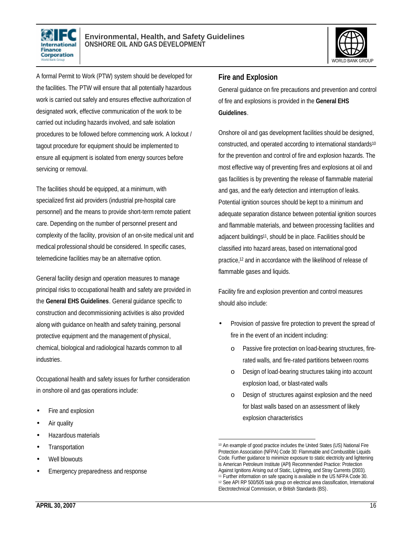



A formal Permit to Work (PTW) system should be developed for the facilities. The PTW will ensure that all potentially hazardous work is carried out safely and ensures effective authorization of designated work, effective communication of the work to be carried out including hazards involved, and safe isolation procedures to be followed before commencing work. A lockout / tagout procedure for equipment should be implemented to ensure all equipment is isolated from energy sources before servicing or removal.

The facilities should be equipped, at a minimum, with specialized first aid providers (industrial pre-hospital care personnel) and the means to provide short-term remote patient care. Depending on the number of personnel present and complexity of the facility, provision of an on-site medical unit and medical professional should be considered. In specific cases, telemedicine facilities may be an alternative option.

General facility design and operation measures to manage principal risks to occupational health and safety are provided in the **General EHS Guidelines**. General guidance specific to construction and decommissioning activities is also provided along with guidance on health and safety training, personal protective equipment and the management of physical, chemical, biological and radiological hazards common to all industries.

Occupational health and safety issues for further consideration in onshore oil and gas operations include:

- Fire and explosion
- Air quality
- Hazardous materials
- **Transportation**
- Well blowouts
- Emergency preparedness and response

#### **Fire and Explosion**

General guidance on fire precautions and prevention and control of fire and explosions is provided in the **General EHS Guidelines**.

Onshore oil and gas development facilities should be designed, constructed, and operated according to international standards<sup>10</sup> for the prevention and control of fire and explosion hazards. The most effective way of preventing fires and explosions at oil and gas facilities is by preventing the release of flammable material and gas, and the early detection and interruption of leaks. Potential ignition sources should be kept to a minimum and adequate separation distance between potential ignition sources and flammable materials, and between processing facilities and adjacent buildings11, should be in place. Facilities should be classified into hazard areas, based on international good practice, <sup>12</sup> and in accordance with the likelihood of release of flammable gases and liquids.

Facility fire and explosion prevention and control measures should also include:

- Provision of passive fire protection to prevent the spread of fire in the event of an incident including:
	- o Passive fire protection on load-bearing structures, firerated walls, and fire-rated partitions between rooms
	- o Design of load-bearing structures taking into account explosion load, or blast-rated walls
	- o Design of structures against explosion and the need for blast walls based on an assessment of likely explosion characteristics

 $\overline{a}$ <sup>10</sup> An example of good practice includes the United States (US) National Fire Protection Association (NFPA) Code 30: Flammable and Combustible Liquids Code. Further guidance to minimize exposure to static electricity and lightening is American Petroleum Institute (API) Recommended Practice: Protection Against Ignitions Arising out of Static, Lightning, and Stray Currents (2003). <sup>11</sup> Further information on safe spacing is available in the US NFPA Code 30. 12 See API RP 500/505 task group on electrical area classification, International Electrotechnical Commission, or British Standards (BS).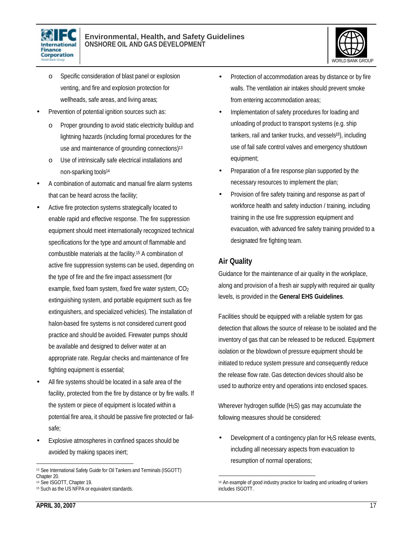



- o Specific consideration of blast panel or explosion venting, and fire and explosion protection for wellheads, safe areas, and living areas;
- Prevention of potential ignition sources such as:
	- o Proper grounding to avoid static electricity buildup and lightning hazards (including formal procedures for the use and maintenance of grounding connections)<sup>13</sup>
	- o Use of intrinsically safe electrical installations and non-sparking tools<sup>14</sup>
- A combination of automatic and manual fire alarm systems that can be heard across the facility;
- Active fire protection systems strategically located to enable rapid and effective response. The fire suppression equipment should meet internationally recognized technical specifications for the type and amount of flammable and combustible materials at the facility.15 A combination of active fire suppression systems can be used, depending on the type of fire and the fire impact assessment (for example, fixed foam system, fixed fire water system, CO<sup>2</sup> extinguishing system, and portable equipment such as fire extinguishers, and specialized vehicles). The installation of halon-based fire systems is not considered current good practice and should be avoided. Firewater pumps should be available and designed to deliver water at an appropriate rate. Regular checks and maintenance of fire fighting equipment is essential;
- All fire systems should be located in a safe area of the facility, protected from the fire by distance or by fire walls. If the system or piece of equipment is located within a potential fire area, it should be passive fire protected or failsafe;
- Explosive atmospheres in confined spaces should be avoided by making spaces inert;
- Protection of accommodation areas by distance or by fire walls. The ventilation air intakes should prevent smoke from entering accommodation areas;
- Implementation of safety procedures for loading and unloading of product to transport systems (e.g. ship tankers, rail and tanker trucks, and vessels16), including use of fail safe control valves and emergency shutdown equipment;
- Preparation of a fire response plan supported by the necessary resources to implement the plan;
- Provision of fire safety training and response as part of workforce health and safety induction / training, including training in the use fire suppression equipment and evacuation, with advanced fire safety training provided to a designated fire fighting team.

# **Air Quality**

Guidance for the maintenance of air quality in the workplace, along and provision of a fresh air supply with required air quality levels, is provided in the **General EHS Guidelines**.

Facilities should be equipped with a reliable system for gas detection that allows the source of release to be isolated and the inventory of gas that can be released to be reduced. Equipment isolation or the blowdown of pressure equipment should be initiated to reduce system pressure and consequently reduce the release flow rate. Gas detection devices should also be used to authorize entry and operations into enclosed spaces.

Wherever hydrogen sulfide (H2S) gas may accumulate the following measures should be considered:

• Development of a contingency plan for H2S release events, including all necessary aspects from evacuation to resumption of normal operations;

l <sup>13</sup> See International Safety Guide for Oil Tankers and Terminals (ISGOTT) Chapter 20.

<sup>14</sup> See ISGOTT, Chapter 19.

<sup>15</sup> Such as the US NFPA or equivalent standards.

<sup>1</sup> <sup>16</sup> An example of good industry practice for loading and unloading of tankers includes ISGOTT.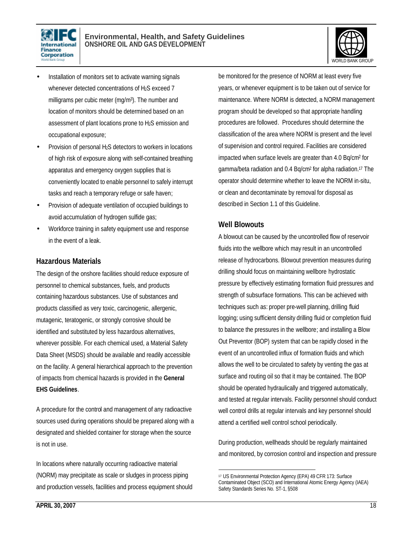



- Installation of monitors set to activate warning signals whenever detected concentrations of H<sub>2</sub>S exceed 7 milligrams per cubic meter (mg/m<sup>3</sup> ). The number and location of monitors should be determined based on an assessment of plant locations prone to H2S emission and occupational exposure;
- Provision of personal H2S detectors to workers in locations of high risk of exposure along with self-contained breathing apparatus and emergency oxygen supplies that is conveniently located to enable personnel to safely interrupt tasks and reach a temporary refuge or safe haven;
- Provision of adequate ventilation of occupied buildings to avoid accumulation of hydrogen sulfide gas;
- Workforce training in safety equipment use and response in the event of a leak.

#### **Hazardous Materials**

The design of the onshore facilities should reduce exposure of personnel to chemical substances, fuels, and products containing hazardous substances. Use of substances and products classified as very toxic, carcinogenic, allergenic, mutagenic, teratogenic, or strongly corrosive should be identified and substituted by less hazardous alternatives, wherever possible. For each chemical used, a Material Safety Data Sheet (MSDS) should be available and readily accessible on the facility. A general hierarchical approach to the prevention of impacts from chemical hazards is provided in the **General EHS Guidelines**.

A procedure for the control and management of any radioactive sources used during operations should be prepared along with a designated and shielded container for storage when the source is not in use.

In locations where naturally occurring radioactive material (NORM) may precipitate as scale or sludges in process piping and production vessels, facilities and process equipment should be monitored for the presence of NORM at least every five years, or whenever equipment is to be taken out of service for maintenance. Where NORM is detected, a NORM management program should be developed so that appropriate handling procedures are followed. Procedures should determine the classification of the area where NORM is present and the level of supervision and control required. Facilities are considered impacted when surface levels are greater than 4.0 Bq/cm<sup>2</sup> for gamma/beta radiation and 0.4 Bq/cm<sup>2</sup> for alpha radiation.17 The operator should determine whether to leave the NORM in-situ, or clean and decontaminate by removal for disposal as described in Section 1.1 of this Guideline.

#### **Well Blowouts**

A blowout can be caused by the uncontrolled flow of reservoir fluids into the wellbore which may result in an uncontrolled release of hydrocarbons. Blowout prevention measures during drilling should focus on maintaining wellbore hydrostatic pressure by effectively estimating formation fluid pressures and strength of subsurface formations. This can be achieved with techniques such as: proper pre-well planning, drilling fluid logging; using sufficient density drilling fluid or completion fluid to balance the pressures in the wellbore; and installing a Blow Out Preventor (BOP) system that can be rapidly closed in the event of an uncontrolled influx of formation fluids and which allows the well to be circulated to safety by venting the gas at surface and routing oil so that it may be contained. The BOP should be operated hydraulically and triggered automatically, and tested at regular intervals. Facility personnel should conduct well control drills at regular intervals and key personnel should attend a certified well control school periodically.

During production, wellheads should be regularly maintained and monitored, by corrosion control and inspection and pressure

 $\overline{a}$ <sup>17</sup> US Environmental Protection Agency (EPA) 49 CFR 173: Surface Contaminated Object (SCO) and International Atomic Energy Agency (IAEA) Safety Standards Series No. ST-1, §508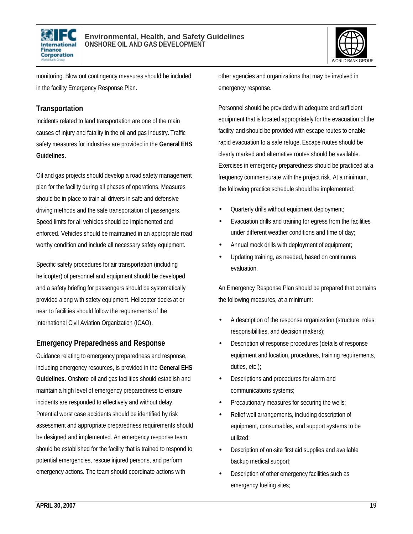



monitoring. Blow out contingency measures should be included in the facility Emergency Response Plan.

### **Transportation**

Incidents related to land transportation are one of the main causes of injury and fatality in the oil and gas industry. Traffic safety measures for industries are provided in the **General EHS Guidelines**.

Oil and gas projects should develop a road safety management plan for the facility during all phases of operations. Measures should be in place to train all drivers in safe and defensive driving methods and the safe transportation of passengers. Speed limits for all vehicles should be implemented and enforced. Vehicles should be maintained in an appropriate road worthy condition and include all necessary safety equipment.

Specific safety procedures for air transportation (including helicopter) of personnel and equipment should be developed and a safety briefing for passengers should be systematically provided along with safety equipment. Helicopter decks at or near to facilities should follow the requirements of the International Civil Aviation Organization (ICAO).

## **Emergency Preparedness and Response**

Guidance relating to emergency preparedness and response, including emergency resources, is provided in the **General EHS Guidelines**. Onshore oil and gas facilities should establish and maintain a high level of emergency preparedness to ensure incidents are responded to effectively and without delay. Potential worst case accidents should be identified by risk assessment and appropriate preparedness requirements should be designed and implemented. An emergency response team should be established for the facility that is trained to respond to potential emergencies, rescue injured persons, and perform emergency actions. The team should coordinate actions with

other agencies and organizations that may be involved in emergency response.

Personnel should be provided with adequate and sufficient equipment that is located appropriately for the evacuation of the facility and should be provided with escape routes to enable rapid evacuation to a safe refuge. Escape routes should be clearly marked and alternative routes should be available. Exercises in emergency preparedness should be practiced at a frequency commensurate with the project risk. At a minimum, the following practice schedule should be implemented:

- Quarterly drills without equipment deployment;
- Evacuation drills and training for egress from the facilities under different weather conditions and time of day;
- Annual mock drills with deployment of equipment;
- Updating training, as needed, based on continuous evaluation.

An Emergency Response Plan should be prepared that contains the following measures, at a minimum:

- A description of the response organization (structure, roles, responsibilities, and decision makers);
- Description of response procedures (details of response equipment and location, procedures, training requirements, duties, etc.);
- Descriptions and procedures for alarm and communications systems;
- Precautionary measures for securing the wells;
- Relief well arrangements, including description of equipment, consumables, and support systems to be utilized;
- Description of on-site first aid supplies and available backup medical support;
- Description of other emergency facilities such as emergency fueling sites;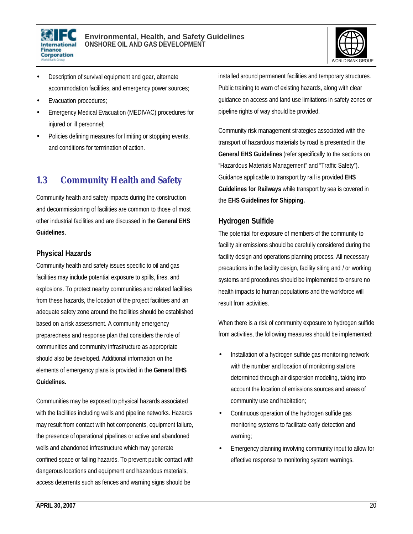



- Description of survival equipment and gear, alternate accommodation facilities, and emergency power sources;
- Evacuation procedures;
- Emergency Medical Evacuation (MEDIVAC) procedures for injured or ill personnel;
- Policies defining measures for limiting or stopping events, and conditions for termination of action.

# **1.3 Community Health and Safety**

Community health and safety impacts during the construction and decommissioning of facilities are common to those of most other industrial facilities and are discussed in the **General EHS Guidelines**.

## **Physical Hazards**

Community health and safety issues specific to oil and gas facilities may include potential exposure to spills, fires, and explosions. To protect nearby communities and related facilities from these hazards, the location of the project facilities and an adequate safety zone around the facilities should be established based on a risk assessment. A community emergency preparedness and response plan that considers the role of communities and community infrastructure as appropriate should also be developed. Additional information on the elements of emergency plans is provided in the **General EHS Guidelines.** 

Communities may be exposed to physical hazards associated with the facilities including wells and pipeline networks. Hazards may result from contact with hot components, equipment failure, the presence of operational pipelines or active and abandoned wells and abandoned infrastructure which may generate confined space or falling hazards. To prevent public contact with dangerous locations and equipment and hazardous materials, access deterrents such as fences and warning signs should be

installed around permanent facilities and temporary structures. Public training to warn of existing hazards, along with clear guidance on access and land use limitations in safety zones or pipeline rights of way should be provided.

Community risk management strategies associated with the transport of hazardous materials by road is presented in the **General EHS Guidelines** (refer specifically to the sections on "Hazardous Materials Management" and "Traffic Safety"). Guidance applicable to transport by rail is provided **EHS Guidelines for Railways** while transport by sea is covered in the **EHS Guidelines for Shipping.**

## **Hydrogen Sulfide**

The potential for exposure of members of the community to facility air emissions should be carefully considered during the facility design and operations planning process. All necessary precautions in the facility design, facility siting and / or working systems and procedures should be implemented to ensure no health impacts to human populations and the workforce will result from activities.

When there is a risk of community exposure to hydrogen sulfide from activities, the following measures should be implemented:

- Installation of a hydrogen sulfide gas monitoring network with the number and location of monitoring stations determined through air dispersion modeling, taking into account the location of emissions sources and areas of community use and habitation;
- Continuous operation of the hydrogen sulfide gas monitoring systems to facilitate early detection and warning;
- Emergency planning involving community input to allow for effective response to monitoring system warnings.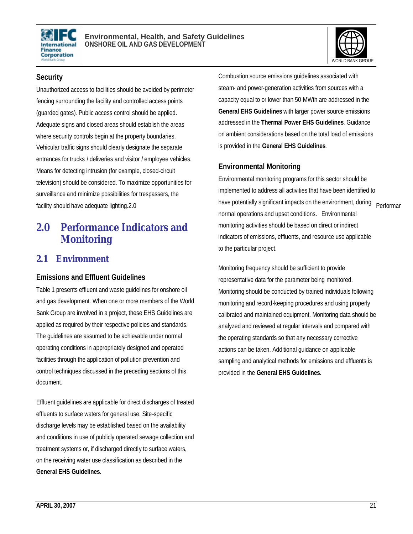



## **Security**

Unauthorized access to facilities should be avoided by perimeter fencing surrounding the facility and controlled access points (guarded gates). Public access control should be applied. Adequate signs and closed areas should establish the areas where security controls begin at the property boundaries. Vehicular traffic signs should clearly designate the separate entrances for trucks / deliveries and visitor / employee vehicles. Means for detecting intrusion (for example, closed-circuit television) should be considered. To maximize opportunities for surveillance and minimize possibilities for trespassers, the

# **2.0 Performance Indicators and Monitoring**

# **2.1 Environment**

#### **Emissions and Effluent Guidelines**

Table 1 presents effluent and waste guidelines for onshore oil and gas development. When one or more members of the World Bank Group are involved in a project, these EHS Guidelines are applied as required by their respective policies and standards. The guidelines are assumed to be achievable under normal operating conditions in appropriately designed and operated facilities through the application of pollution prevention and control techniques discussed in the preceding sections of this document.

Effluent guidelines are applicable for direct discharges of treated effluents to surface waters for general use. Site-specific discharge levels may be established based on the availability and conditions in use of publicly operated sewage collection and treatment systems or, if discharged directly to surface waters, on the receiving water use classification as described in the **General EHS Guidelines**.

Combustion source emissions guidelines associated with steam- and power-generation activities from sources with a capacity equal to or lower than 50 MWth are addressed in the **General EHS Guidelines** with larger power source emissions addressed in the **Thermal Power EHS Guidelines**. Guidance on ambient considerations based on the total load of emissions is provided in the **General EHS Guidelines**.

#### **Environmental Monitoring**

facility should have adequate lighting.2.0 **Performance intervention and the contract of the Contract Contract Contract Contract Contract Contract Contract Contract Performance in the environment, www.performance in the en** Environmental monitoring programs for this sector should be implemented to address all activities that have been identified to have potentially significant impacts on the environment, during normal operations and upset conditions. Environmental monitoring activities should be based on direct or indirect indicators of emissions, effluents, and resource use applicable to the particular project.

> Monitoring frequency should be sufficient to provide representative data for the parameter being monitored. Monitoring should be conducted by trained individuals following monitoring and record-keeping procedures and using properly calibrated and maintained equipment. Monitoring data should be analyzed and reviewed at regular intervals and compared with the operating standards so that any necessary corrective actions can be taken. Additional guidance on applicable sampling and analytical methods for emissions and effluents is provided in the **General EHS Guidelines**.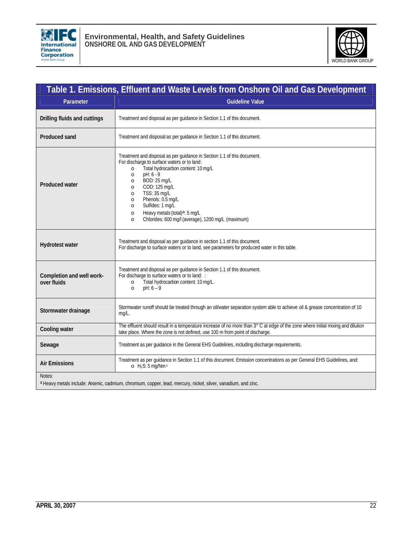



| Table 1. Emissions, Effluent and Waste Levels from Onshore Oil and Gas Development                                                  |                                                                                                                                                                                                                                                                                                                                                                                                                                                                              |
|-------------------------------------------------------------------------------------------------------------------------------------|------------------------------------------------------------------------------------------------------------------------------------------------------------------------------------------------------------------------------------------------------------------------------------------------------------------------------------------------------------------------------------------------------------------------------------------------------------------------------|
| Parameter                                                                                                                           | <b>Guideline Value</b>                                                                                                                                                                                                                                                                                                                                                                                                                                                       |
| Drilling fluids and cuttings                                                                                                        | Treatment and disposal as per guidance in Section 1.1 of this document.                                                                                                                                                                                                                                                                                                                                                                                                      |
| <b>Produced sand</b>                                                                                                                | Treatment and disposal as per guidance in Section 1.1 of this document.                                                                                                                                                                                                                                                                                                                                                                                                      |
| <b>Produced water</b>                                                                                                               | Treatment and disposal as per guidance in Section 1.1 of this document.<br>For discharge to surface waters or to land:<br>Total hydrocarbon content: 10 mg/L<br>$\circ$<br>$pH: 6 - 9$<br>$\circ$<br>BOD: 25 mg/L<br>$\circ$<br>COD: 125 mg/L<br>$\circ$<br>TSS: 35 mg/L<br>$\circ$<br>Phenols: 0.5 mg/L<br>$\circ$<br>Sulfides: 1 mg/L<br>$\circ$<br>Heavy metals (total) <sup>a</sup> : 5 mg/L<br>$\circ$<br>Chlorides: 600 mg/l (average), 1200 mg/L (maximum)<br>$\circ$ |
| <b>Hydrotest water</b>                                                                                                              | Treatment and disposal as per guidance in section 1.1 of this document.<br>For discharge to surface waters or to land, see parameters for produced water in this table.                                                                                                                                                                                                                                                                                                      |
| Completion and well work-<br>over fluids                                                                                            | Treatment and disposal as per guidance in Section 1.1 of this document.<br>For discharge to surface waters or to land: :<br>Total hydrocarbon content: 10 mg/L.<br>$\circ$<br>$pH: 6 - 9$<br>$\circ$                                                                                                                                                                                                                                                                         |
| Stormwater drainage                                                                                                                 | Stormwater runoff should be treated through an oil/water separation system able to achieve oil & grease concentration of 10<br>mg/L.                                                                                                                                                                                                                                                                                                                                         |
| <b>Cooling water</b>                                                                                                                | The effluent should result in a temperature increase of no more than 3° C at edge of the zone where initial mixing and dilution<br>take place. Where the zone is not defined, use 100 m from point of discharge.                                                                                                                                                                                                                                                             |
| Sewage                                                                                                                              | Treatment as per guidance in the General EHS Guidelines, including discharge requirements.                                                                                                                                                                                                                                                                                                                                                                                   |
| <b>Air Emissions</b>                                                                                                                | Treatment as per guidance in Section 1.1 of this document. Emission concentrations as per General EHS Guidelines, and:<br>$O$ H <sub>2</sub> S: 5 mg/Nm <sup>3</sup>                                                                                                                                                                                                                                                                                                         |
| Notes:<br><sup>a</sup> Heavy metals include: Arsenic, cadmium, chromium, copper, lead, mercury, nickel, silver, vanadium, and zinc. |                                                                                                                                                                                                                                                                                                                                                                                                                                                                              |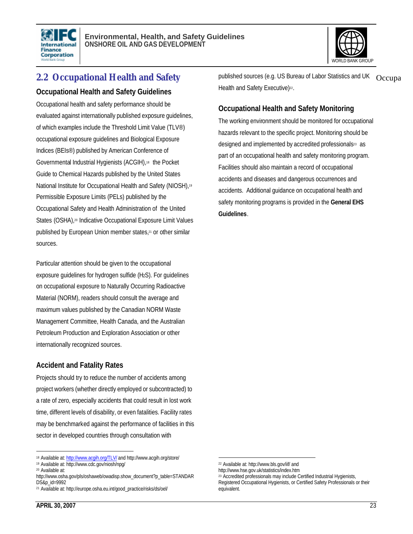



### **Occupational Health and Safety Guidelines**

Occupational health and safety performance should be evaluated against internationally published exposure guidelines, of which examples include the Threshold Limit Value (TLV®) occupational exposure guidelines and Biological Exposure Indices (BEIs®) published by American Conference of Governmental Industrial Hygienists (ACGIH),18 the Pocket Guide to Chemical Hazards published by the United States National Institute for Occupational Health and Safety (NIOSH),<sup>19</sup> Permissible Exposure Limits (PELs) published by the Occupational Safety and Health Administration of the United States (OSHA),<sup>20</sup> Indicative Occupational Exposure Limit Values published by European Union member states,21 or other similar sources.

Particular attention should be given to the occupational exposure guidelines for hydrogen sulfide (H2S). For guidelines on occupational exposure to Naturally Occurring Radioactive Material (NORM), readers should consult the average and maximum values published by the Canadian NORM Waste Management Committee, Health Canada, and the Australian Petroleum Production and Exploration Association or other internationally recognized sources.

## **Accident and Fatality Rates**

Projects should try to reduce the number of accidents among project workers (whether directly employed or subcontracted) to a rate of zero, especially accidents that could result in lost work time, different levels of disability, or even fatalities. Facility rates may be benchmarked against the performance of facilities in this sector in developed countries through consultation with

 $\overline{a}$ 

2.2 Occupational Health and Safety published sources (e.g. US Bureau of Labor Statistics and UK Occupa Health and Safety Executive)<sup>22</sup>.

# **Occupational Health and Safety Monitoring**

The working environment should be monitored for occupational hazards relevant to the specific project. Monitoring should be designed and implemented by accredited professionals<sup>23</sup> as part of an occupational health and safety monitoring program. Facilities should also maintain a record of occupational accidents and diseases and dangerous occurrences and accidents. Additional guidance on occupational health and safety monitoring programs is provided in the **General EHS Guidelines**.

 $\overline{a}$ 

<sup>18</sup> Available at: http://www.acgih.org/TLV/ and http://www.acgih.org/store/

<sup>19</sup> Available at: http://www.cdc.gov/niosh/npg/

<sup>20</sup> Available at: http://www.osha.gov/pls/oshaweb/owadisp.show\_document?p\_table=STANDAR DS&p\_id=9992

<sup>21</sup> Available at: http://europe.osha.eu.int/good\_practice/risks/ds/oel/

<sup>22</sup> Available at: http://www.bls.gov/iif/ and

http://www.hse.gov.uk/statistics/index.htm

<sup>&</sup>lt;sup>23</sup> Accredited professionals may include Certified Industrial Hygienists, Registered Occupational Hygienists, or Certified Safety Professionals or their equivalent.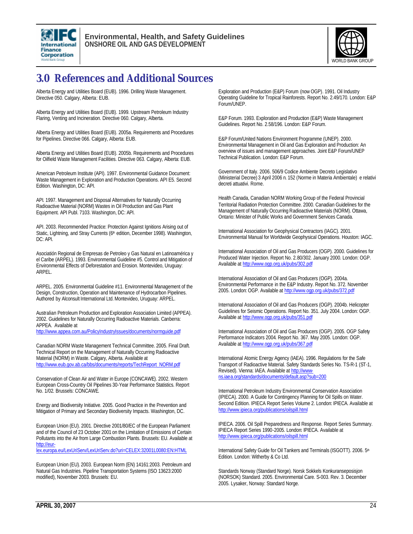



# **3.0 References and Additional Sources**

Alberta Energy and Utilities Board (EUB). 1996. Drilling Waste Management. Directive 050. Calgary, Alberta: EUB.

Alberta Energy and Utilities Board (EUB). 1999. Upstream Petroleum Industry Flaring, Venting and Incineration. Directive 060. Calgary, Alberta.

Alberta Energy and Utilities Board (EUB). 2005a. Requirements and Procedures for Pipelines. Directive 066. Calgary, Alberta: EUB.

Alberta Energy and Utilities Board (EUB). 2005b. Requirements and Procedures for Oilfield Waste Management Facilities. Directive 063. Calgary, Alberta: EUB.

American Petroleum Institute (API). 1997. Environmental Guidance Document: Waste Management in Exploration and Production Operations. API E5. Second Edition. Washington, DC: API.

API. 1997. Management and Disposal Alternatives for Naturally Occurring Radioactive Material (NORM) Wastes in Oil Production and Gas Plant Equipment. API Publ. 7103. Washington, DC: API.

API. 2003. Recommended Practice: Protection Against Ignitions Arising out of Static, Lightning, and Stray Currents (6<sup>th</sup> edition, December 1998). Washington, DC: API.

Asociatión Regional de Empresas de Petroleo y Gas Natural en Latinoamérica y el Caribe (ARPEL). 1993. Environmental Guideline #5. Control and Mitigation of Environmental Effects of Deforestation and Erosion. Montevideo, Uruguay: ARPEL.

ARPEL. 2005. Environmental Guideline #11. Environmental Management of the Design, Construction, Operation and Maintenance of Hydrocarbon Pipelines. Authored by Alconsult International Ltd. Montevideo, Uruguay: ARPEL.

Australian Petroleum Production and Exploration Association Limited (APPEA). 2002. Guidelines for Naturally Occurring Radioactive Materials. Canberra: APPEA. Available at http://www.appea.com.au/PolicyIndustryIssues/documents/normguide.pdf

Canadian NORM Waste Management Technical Committee. 2005. Final Draft. Technical Report on the Management of Naturally Occurring Radioactive Material (NORM) in Waste. Calgary, Alberta. Available at http://www.eub.gov.ab.ca/bbs/documents/reports/TechReport\_NORM.pdf

Conservation of Clean Air and Water in Europe (CONCAWE). 2002. Western European Cross-Country Oil Pipelines 30-Year Performance Statistics. Report No. 1/02. Brussels: CONCAWE.

Energy and Biodiversity Initiative. 2005. Good Practice in the Prevention and Mitigation of Primary and Secondary Biodiversity Impacts. Washington, DC.

European Union (EU). 2001. Directive 2001/80/EC of the European Parliament and of the Council of 23 October 2001 on the Limitation of Emissions of Certain Pollutants into the Air from Large Combustion Plants. Brussels: EU. Available at http://eur-

lex.europa.eu/LexUriServ/LexUriServ.do?uri=CELEX:32001L0080:EN:HTML

European Union (EU). 2003. European Norm (EN) 14161:2003. Petroleum and Natural Gas Industries. Pipeline Transportation Systems (ISO 13623:2000 modified), November 2003. Brussels: EU.

Exploration and Production (E&P) Forum (now OGP). 1991. Oil Industry Operating Guideline for Tropical Rainforests. Report No. 2.49/170. London: E&P Forum/UNEP.

E&P Forum. 1993. Exploration and Production (E&P) Waste Management Guidelines. Report No. 2.58/196. London: E&P Forum.

E&P Forum/United Nations Environment Programme (UNEP). 2000. Environmental Management in Oil and Gas Exploration and Production: An overview of issues and management approaches. Joint E&P Forum/UNEP Technical Publication. London: E&P Forum.

Government of Italy. 2006. 506/9 Codice Ambiente Decreto Legislativo (Ministerial Decree) 3 April 2006 n. 152 (Norme in Materia Ambientale) e relativi decreti attuativi. Rome.

Health Canada, Canadian NORM Working Group of the Federal Provincial Territorial Radiation Protection Committee. 2000. Canadian Guidelines for the Management of Naturally Occurring Radioactive Materials (NORM). Ottawa, Ontario: Minister of Public Works and Government Services Canada.

International Association for Geophysical Contractors (IAGC). 2001. Environmental Manual for Worldwide Geophysical Operations. Houston: IAGC.

International Association of Oil and Gas Producers (OGP). 2000. Guidelines for Produced Water Injection. Report No. 2.80/302. January 2000. London: OGP. Available at http://www.ogp.org.uk/pubs/302.pdf

International Association of Oil and Gas Producers (OGP). 2004a. Environmental Performance in the E&P Industry. Report No. 372. November 2005. London: OGP. Available at http://www.ogp.org.uk/pubs/372.pdf

International Association of Oil and Gas Producers (OGP). 2004b. Helicopter Guidelines for Seismic Operations. Report No. 351. July 2004. London: OGP. Available at http://www.ogp.org.uk/pubs/351.pdf

International Association of Oil and Gas Producers (OGP). 2005. OGP Safety Performance Indicators 2004. Report No. 367. May 2005. London: OGP. Available at http://www.ogp.org.uk/pubs/367.pdf

International Atomic Energy Agency (IAEA). 1996. Regulations for the Safe Transport of Radioactive Material. Safety Standards Series No. TS-R-1 (ST-1, Revised). Vienna: IAEA. Available at http://wwwns.iaea.org/standards/documents/default.asp?sub=200

International Petroleum Industry Environmental Conservation Association (IPIECA). 2000. A Guide for Contingency Planning for Oil Spills on Water. Second Edition. IPIECA Report Series Volume 2. London: IPIECA. Available at http://www.ipieca.org/publications/oilspill.html

IPIECA. 2006. Oil Spill Preparedness and Response. Report Series Summary. IPIECA Report Series 1990-2005. London: IPIECA. Available at http://www.ipieca.org/publications/oilspill.html

International Safety Guide for Oil Tankers and Terminals (ISGOTT). 2006. 5th Edition. London: Witherby & Co Ltd.

Standards Norway (Standard Norge). Norsk Sokkels Konkuranseposisjon (NORSOK) Standard. 2005. Environmental Care. S-003. Rev. 3. December 2005. Lysaker, Norway: Standard Norge.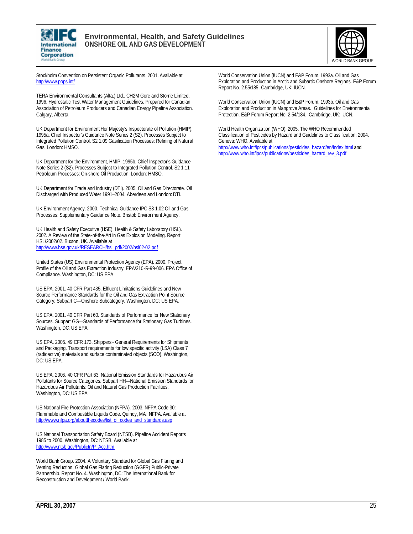

#### **Environmental, Health, and Safety Guidelines ONSHORE OIL AND GAS DEVELOPMENT**



Stockholm Convention on Persistent Organic Pollutants. 2001. Available at http://www.pops.int/

TERA Environmental Consultants (Alta.) Ltd., CH2M Gore and Storrie Limited. 1996. Hydrostatic Test Water Management Guidelines. Prepared for Canadian Association of Petroleum Producers and Canadian Energy Pipeline Association. Calgary, Alberta.

UK Department for Environment Her Majesty's Inspectorate of Pollution (HMIP). 1995a. Chief Inspector's Guidance Note Series 2 (S2). Processes Subject to Integrated Pollution Control. S2 1.09 Gasification Processes: Refining of Natural Gas. London: HMSO.

UK Department for the Environment, HMIP. 1995b. Chief Inspector's Guidance Note Series 2 (S2). Processes Subject to Integrated Pollution Control. S2 1.11 Petroleum Processes: On-shore Oil Production. London: HMSO.

UK Department for Trade and Industry (DTI). 2005. Oil and Gas Directorate. Oil Discharged with Produced Water 1991–2004. Aberdeen and London: DTI.

UK Environment Agency. 2000. Technical Guidance IPC S3 1.02 Oil and Gas Processes: Supplementary Guidance Note. Bristol: Environment Agency.

UK Health and Safety Executive (HSE), Health & Safety Laboratory (HSL). 2002. A Review of the State-of-the-Art in Gas Explosion Modeling. Report HSL/2002/02. Buxton, UK. Available at http://www.hse.gov.uk/RESEARCH/hsl\_pdf/2002/hsl02-02.pdf

United States (US) Environmental Protection Agency (EPA). 2000. Project Profile of the Oil and Gas Extraction Industry. EPA/310-R-99-006. EPA Office of Compliance. Washington, DC: US EPA.

US EPA. 2001. 40 CFR Part 435. Effluent Limitations Guidelines and New Source Performance Standards for the Oil and Gas Extraction Point Source Category; Subpart C—Onshore Subcategory. Washington, DC: US EPA.

US EPA. 2001. 40 CFR Part 60. Standards of Performance for New Stationary Sources. Subpart GG—Standards of Performance for Stationary Gas Turbines. Washington, DC: US EPA.

US EPA. 2005. 49 CFR 173. Shippers - General Requirements for Shipments and Packaging. Transport requirements for low specific activity (LSA) Class 7 (radioactive) materials and surface contaminated objects (SCO). Washington, DC: US EPA.

US EPA. 2006. 40 CFR Part 63. National Emission Standards for Hazardous Air Pollutants for Source Categories. Subpart HH—National Emission Standards for Hazardous Air Pollutants: Oil and Natural Gas Production Facilities. Washington, DC: US EPA.

US National Fire Protection Association (NFPA). 2003. NFPA Code 30: Flammable and Combustible Liquids Code. Quincy, MA: NFPA. Available at http://www.nfpa.org/aboutthecodes/list\_of\_codes\_and\_standards.asp

US National Transportation Safety Board (NTSB). Pipeline Accident Reports 1985 to 2000. Washington, DC: NTSB. Available at http://www.ntsb.gov/Publictn/P\_Acc.htm

World Bank Group. 2004. A Voluntary Standard for Global Gas Flaring and Venting Reduction. Global Gas Flaring Reduction (GGFR) Public-Private Partnership. Report No. 4. Washington, DC: The International Bank for Reconstruction and Development / World Bank.

World Conservation Union (IUCN) and E&P Forum. 1993a. Oil and Gas Exploration and Production in Arctic and Subartic Onshore Regions. E&P Forum Report No. 2.55/185. Cambridge, UK: IUCN.

World Conservation Union (IUCN) and E&P Forum. 1993b. Oil and Gas Exploration and Production in Mangrove Areas. Guidelines for Environmental Protection. E&P Forum Report No. 2.54/184. Cambridge, UK: IUCN.

World Health Organization (WHO). 2005. The WHO Recommended Classification of Pesticides by Hazard and Guidelines to Classification: 2004. Geneva: WHO. Available at http://www.who.int/ipcs/publications/pesticides\_hazard/en/index.html and

http://www.who.int/ipcs/publications/pesticides\_hazard\_rev\_3.pdf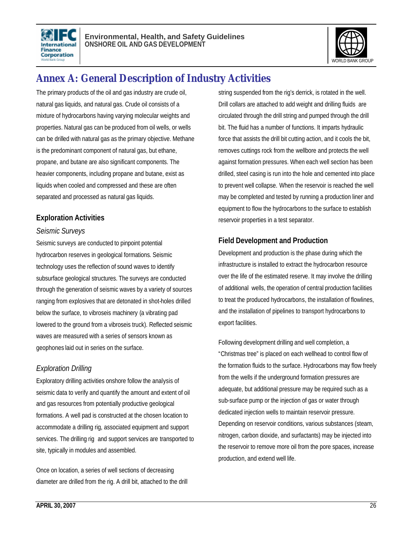



# **Annex A: General Description of Industry Activities**

The primary products of the oil and gas industry are crude oil, natural gas liquids, and natural gas. Crude oil consists of a mixture of hydrocarbons having varying molecular weights and properties. Natural gas can be produced from oil wells, or wells can be drilled with natural gas as the primary objective. Methane is the predominant component of natural gas, but ethane, propane, and butane are also significant components. The heavier components, including propane and butane, exist as liquids when cooled and compressed and these are often separated and processed as natural gas liquids.

# **Exploration Activities**

#### *Seismic Surveys*

Seismic surveys are conducted to pinpoint potential hydrocarbon reserves in geological formations. Seismic technology uses the reflection of sound waves to identify subsurface geological structures. The surveys are conducted through the generation of seismic waves by a variety of sources ranging from explosives that are detonated in shot-holes drilled below the surface, to vibroseis machinery (a vibrating pad lowered to the ground from a vibroseis truck). Reflected seismic waves are measured with a series of sensors known as geophones laid out in series on the surface.

# *Exploration Drilling*

Exploratory drilling activities onshore follow the analysis of seismic data to verify and quantify the amount and extent of oil and gas resources from potentially productive geological formations. A well pad is constructed at the chosen location to accommodate a drilling rig, associated equipment and support services. The drilling rig and support services are transported to site, typically in modules and assembled.

Once on location, a series of well sections of decreasing diameter are drilled from the rig. A drill bit, attached to the drill string suspended from the rig's derrick, is rotated in the well. Drill collars are attached to add weight and drilling fluids are circulated through the drill string and pumped through the drill bit. The fluid has a number of functions. It imparts hydraulic force that assists the drill bit cutting action, and it cools the bit, removes cuttings rock from the wellbore and protects the well against formation pressures. When each well section has been drilled, steel casing is run into the hole and cemented into place to prevent well collapse. When the reservoir is reached the well may be completed and tested by running a production liner and equipment to flow the hydrocarbons to the surface to establish reservoir properties in a test separator.

# **Field Development and Production**

Development and production is the phase during which the infrastructure is installed to extract the hydrocarbon resource over the life of the estimated reserve. It may involve the drilling of additional wells, the operation of central production facilities to treat the produced hydrocarbons, the installation of flowlines, and the installation of pipelines to transport hydrocarbons to export facilities.

Following development drilling and well completion, a "Christmas tree" is placed on each wellhead to control flow of the formation fluids to the surface. Hydrocarbons may flow freely from the wells if the underground formation pressures are adequate, but additional pressure may be required such as a sub-surface pump or the injection of gas or water through dedicated injection wells to maintain reservoir pressure. Depending on reservoir conditions, various substances (steam, nitrogen, carbon dioxide, and surfactants) may be injected into the reservoir to remove more oil from the pore spaces, increase production, and extend well life.